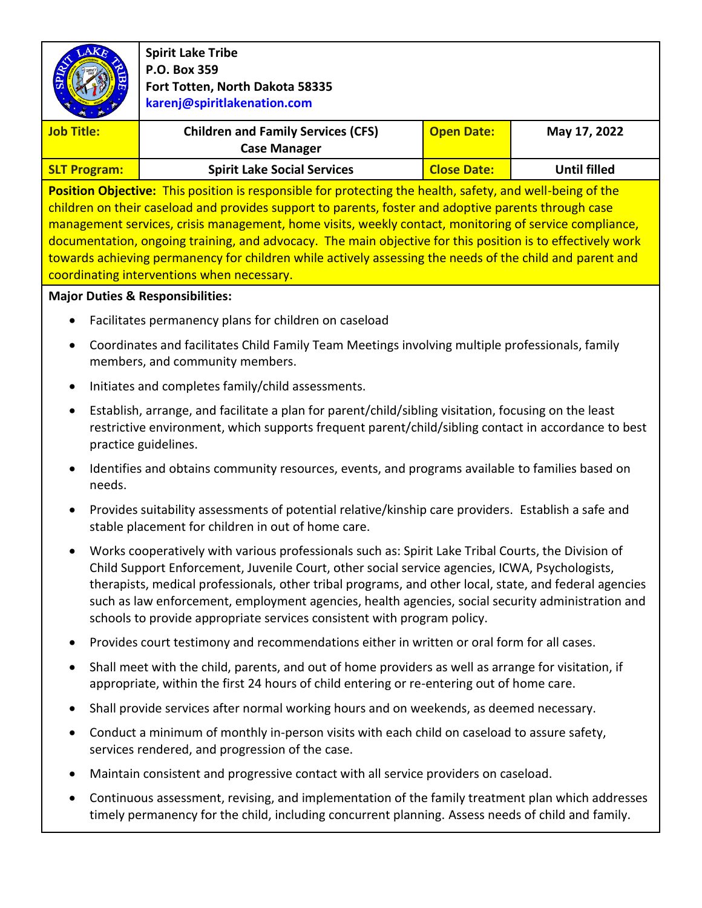|                                                                                                                                                                                                                                                                                                                                                                                                                                                                                                                                                                                                     | <b>Spirit Lake Tribe</b>                                                                                                                                                                                                                                                                                                                                                                                                                                                                       |                    |                     |  |
|-----------------------------------------------------------------------------------------------------------------------------------------------------------------------------------------------------------------------------------------------------------------------------------------------------------------------------------------------------------------------------------------------------------------------------------------------------------------------------------------------------------------------------------------------------------------------------------------------------|------------------------------------------------------------------------------------------------------------------------------------------------------------------------------------------------------------------------------------------------------------------------------------------------------------------------------------------------------------------------------------------------------------------------------------------------------------------------------------------------|--------------------|---------------------|--|
|                                                                                                                                                                                                                                                                                                                                                                                                                                                                                                                                                                                                     | P.O. Box 359<br>Fort Totten, North Dakota 58335                                                                                                                                                                                                                                                                                                                                                                                                                                                |                    |                     |  |
|                                                                                                                                                                                                                                                                                                                                                                                                                                                                                                                                                                                                     | karenj@spiritlakenation.com                                                                                                                                                                                                                                                                                                                                                                                                                                                                    |                    |                     |  |
|                                                                                                                                                                                                                                                                                                                                                                                                                                                                                                                                                                                                     |                                                                                                                                                                                                                                                                                                                                                                                                                                                                                                |                    |                     |  |
| <b>Job Title:</b>                                                                                                                                                                                                                                                                                                                                                                                                                                                                                                                                                                                   | <b>Children and Family Services (CFS)</b><br><b>Case Manager</b>                                                                                                                                                                                                                                                                                                                                                                                                                               | <b>Open Date:</b>  | May 17, 2022        |  |
| <b>SLT Program:</b>                                                                                                                                                                                                                                                                                                                                                                                                                                                                                                                                                                                 | <b>Spirit Lake Social Services</b>                                                                                                                                                                                                                                                                                                                                                                                                                                                             | <b>Close Date:</b> | <b>Until filled</b> |  |
| Position Objective: This position is responsible for protecting the health, safety, and well-being of the<br>children on their caseload and provides support to parents, foster and adoptive parents through case<br>management services, crisis management, home visits, weekly contact, monitoring of service compliance,<br>documentation, ongoing training, and advocacy. The main objective for this position is to effectively work<br>towards achieving permanency for children while actively assessing the needs of the child and parent and<br>coordinating interventions when necessary. |                                                                                                                                                                                                                                                                                                                                                                                                                                                                                                |                    |                     |  |
| <b>Major Duties &amp; Responsibilities:</b>                                                                                                                                                                                                                                                                                                                                                                                                                                                                                                                                                         |                                                                                                                                                                                                                                                                                                                                                                                                                                                                                                |                    |                     |  |
| Facilitates permanency plans for children on caseload                                                                                                                                                                                                                                                                                                                                                                                                                                                                                                                                               |                                                                                                                                                                                                                                                                                                                                                                                                                                                                                                |                    |                     |  |
| Coordinates and facilitates Child Family Team Meetings involving multiple professionals, family<br>$\bullet$<br>members, and community members.                                                                                                                                                                                                                                                                                                                                                                                                                                                     |                                                                                                                                                                                                                                                                                                                                                                                                                                                                                                |                    |                     |  |
| Initiates and completes family/child assessments.<br>$\bullet$                                                                                                                                                                                                                                                                                                                                                                                                                                                                                                                                      |                                                                                                                                                                                                                                                                                                                                                                                                                                                                                                |                    |                     |  |
| Establish, arrange, and facilitate a plan for parent/child/sibling visitation, focusing on the least<br>$\bullet$<br>restrictive environment, which supports frequent parent/child/sibling contact in accordance to best<br>practice guidelines.                                                                                                                                                                                                                                                                                                                                                    |                                                                                                                                                                                                                                                                                                                                                                                                                                                                                                |                    |                     |  |
| needs.                                                                                                                                                                                                                                                                                                                                                                                                                                                                                                                                                                                              | Identifies and obtains community resources, events, and programs available to families based on                                                                                                                                                                                                                                                                                                                                                                                                |                    |                     |  |
|                                                                                                                                                                                                                                                                                                                                                                                                                                                                                                                                                                                                     | Provides suitability assessments of potential relative/kinship care providers. Establish a safe and<br>stable placement for children in out of home care.                                                                                                                                                                                                                                                                                                                                      |                    |                     |  |
|                                                                                                                                                                                                                                                                                                                                                                                                                                                                                                                                                                                                     | Works cooperatively with various professionals such as: Spirit Lake Tribal Courts, the Division of<br>Child Support Enforcement, Juvenile Court, other social service agencies, ICWA, Psychologists,<br>therapists, medical professionals, other tribal programs, and other local, state, and federal agencies<br>such as law enforcement, employment agencies, health agencies, social security administration and<br>schools to provide appropriate services consistent with program policy. |                    |                     |  |
|                                                                                                                                                                                                                                                                                                                                                                                                                                                                                                                                                                                                     | Provides court testimony and recommendations either in written or oral form for all cases.                                                                                                                                                                                                                                                                                                                                                                                                     |                    |                     |  |

- Shall meet with the child, parents, and out of home providers as well as arrange for visitation, if appropriate, within the first 24 hours of child entering or re-entering out of home care.
- Shall provide services after normal working hours and on weekends, as deemed necessary.
- Conduct a minimum of monthly in-person visits with each child on caseload to assure safety, services rendered, and progression of the case.
- Maintain consistent and progressive contact with all service providers on caseload.
- Continuous assessment, revising, and implementation of the family treatment plan which addresses timely permanency for the child, including concurrent planning. Assess needs of child and family.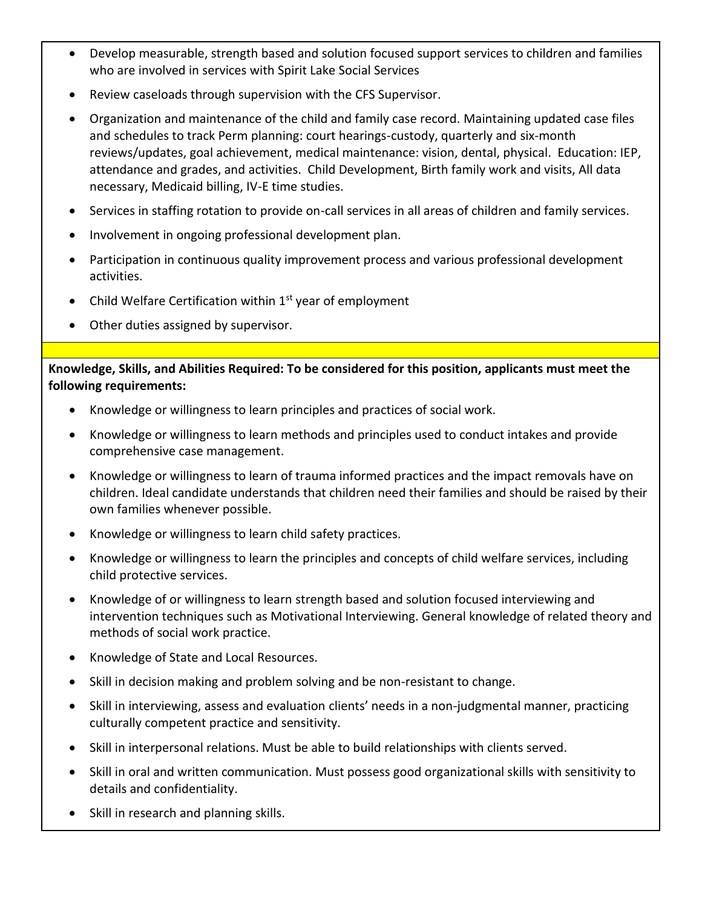- Develop measurable, strength based and solution focused support services to children and families who are involved in services with Spirit Lake Social Services
- Review caseloads through supervision with the CFS Supervisor.
- Organization and maintenance of the child and family case record. Maintaining updated case files and schedules to track Perm planning: court hearings-custody, quarterly and six-month reviews/updates, goal achievement, medical maintenance: vision, dental, physical. Education: IEP, attendance and grades, and activities. Child Development, Birth family work and visits, All data necessary, Medicaid billing, IV-E time studies.
- Services in staffing rotation to provide on-call services in all areas of children and family services.
- Involvement in ongoing professional development plan.
- Participation in continuous quality improvement process and various professional development activities.
- Child Welfare Certification within  $1<sup>st</sup>$  year of employment
- Other duties assigned by supervisor.

**Knowledge, Skills, and Abilities Required: To be considered for this position, applicants must meet the following requirements:**

- Knowledge or willingness to learn principles and practices of social work.
- Knowledge or willingness to learn methods and principles used to conduct intakes and provide comprehensive case management.
- Knowledge or willingness to learn of trauma informed practices and the impact removals have on children. Ideal candidate understands that children need their families and should be raised by their own families whenever possible.
- Knowledge or willingness to learn child safety practices.
- Knowledge or willingness to learn the principles and concepts of child welfare services, including child protective services.
- Knowledge of or willingness to learn strength based and solution focused interviewing and intervention techniques such as Motivational Interviewing. General knowledge of related theory and methods of social work practice.
- Knowledge of State and Local Resources.
- Skill in decision making and problem solving and be non-resistant to change.
- Skill in interviewing, assess and evaluation clients' needs in a non-judgmental manner, practicing culturally competent practice and sensitivity.
- Skill in interpersonal relations. Must be able to build relationships with clients served.
- Skill in oral and written communication. Must possess good organizational skills with sensitivity to details and confidentiality.
- Skill in research and planning skills.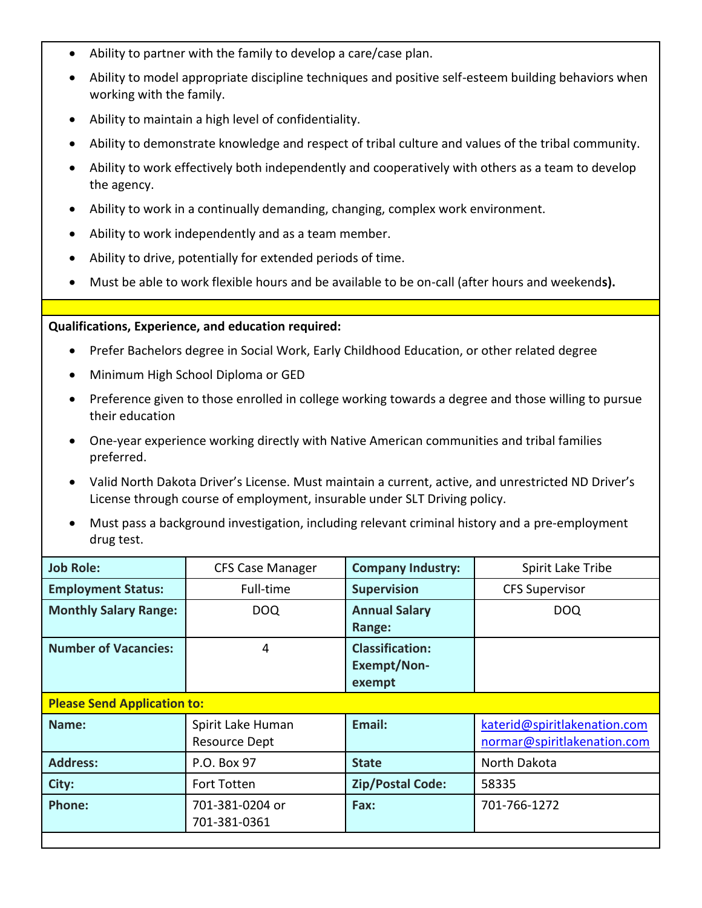- Ability to partner with the family to develop a care/case plan.
- Ability to model appropriate discipline techniques and positive self-esteem building behaviors when working with the family.
- Ability to maintain a high level of confidentiality.
- Ability to demonstrate knowledge and respect of tribal culture and values of the tribal community.
- Ability to work effectively both independently and cooperatively with others as a team to develop the agency.
- Ability to work in a continually demanding, changing, complex work environment.
- Ability to work independently and as a team member.
- Ability to drive, potentially for extended periods of time.
- Must be able to work flexible hours and be available to be on-call (after hours and weekend**s).**

## **Qualifications, Experience, and education required:**

- Prefer Bachelors degree in Social Work, Early Childhood Education, or other related degree
- Minimum High School Diploma or GED
- Preference given to those enrolled in college working towards a degree and those willing to pursue their education
- One-year experience working directly with Native American communities and tribal families preferred.
- Valid North Dakota Driver's License. Must maintain a current, active, and unrestricted ND Driver's License through course of employment, insurable under SLT Driving policy.
- Must pass a background investigation, including relevant criminal history and a pre-employment drug test.

| <b>Job Role:</b>                   | <b>CFS Case Manager</b>                   | <b>Company Industry:</b>                               | Spirit Lake Tribe                                           |  |
|------------------------------------|-------------------------------------------|--------------------------------------------------------|-------------------------------------------------------------|--|
| <b>Employment Status:</b>          | Full-time                                 | <b>Supervision</b>                                     | <b>CFS Supervisor</b>                                       |  |
| <b>Monthly Salary Range:</b>       | <b>DOQ</b>                                | <b>Annual Salary</b><br>Range:                         | <b>DOQ</b>                                                  |  |
| <b>Number of Vacancies:</b>        | 4                                         | <b>Classification:</b><br><b>Exempt/Non-</b><br>exempt |                                                             |  |
| <b>Please Send Application to:</b> |                                           |                                                        |                                                             |  |
| Name:                              | Spirit Lake Human<br><b>Resource Dept</b> | Email:                                                 | katerid@spiritlakenation.com<br>normar@spiritlakenation.com |  |
| <b>Address:</b>                    | P.O. Box 97                               | <b>State</b>                                           | North Dakota                                                |  |
| City:                              | <b>Fort Totten</b>                        | <b>Zip/Postal Code:</b>                                | 58335                                                       |  |
| <b>Phone:</b>                      | 701-381-0204 or<br>701-381-0361           | Fax:                                                   | 701-766-1272                                                |  |